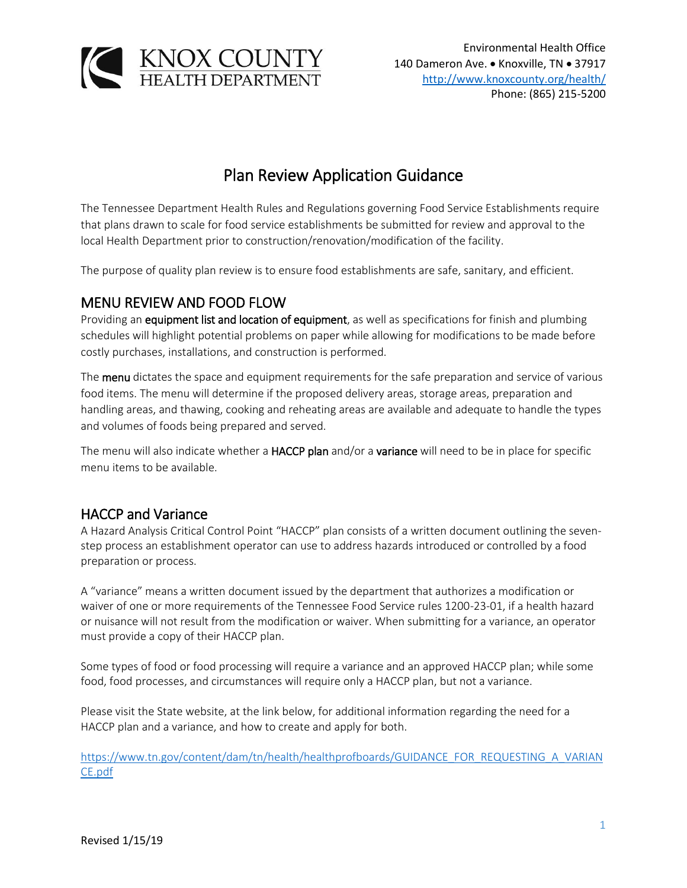

# Plan Review Application Guidance

The Tennessee Department Health Rules and Regulations governing Food Service Establishments require that plans drawn to scale for food service establishments be submitted for review and approval to the local Health Department prior to construction/renovation/modification of the facility.

The purpose of quality plan review is to ensure food establishments are safe, sanitary, and efficient.

### MENU REVIEW AND FOOD FLOW

Providing an equipment list and location of equipment, as well as specifications for finish and plumbing schedules will highlight potential problems on paper while allowing for modifications to be made before costly purchases, installations, and construction is performed.

The **menu** dictates the space and equipment requirements for the safe preparation and service of various food items. The menu will determine if the proposed delivery areas, storage areas, preparation and handling areas, and thawing, cooking and reheating areas are available and adequate to handle the types and volumes of foods being prepared and served.

The menu will also indicate whether a HACCP plan and/or a variance will need to be in place for specific menu items to be available.

## HACCP and Variance

A Hazard Analysis Critical Control Point "HACCP" plan consists of a written document outlining the sevenstep process an establishment operator can use to address hazards introduced or controlled by a food preparation or process.

A "variance" means a written document issued by the department that authorizes a modification or waiver of one or more requirements of the Tennessee Food Service rules 1200-23-01, if a health hazard or nuisance will not result from the modification or waiver. When submitting for a variance, an operator must provide a copy of their HACCP plan.

Some types of food or food processing will require a variance and an approved HACCP plan; while some food, food processes, and circumstances will require only a HACCP plan, but not a variance.

Please visit the State website, at the link below, for additional information regarding the need for a HACCP plan and a variance, and how to create and apply for both.

[https://www.tn.gov/content/dam/tn/health/healthprofboards/GUIDANCE\\_FOR\\_REQUESTING\\_A\\_VARIAN](https://www.tn.gov/content/dam/tn/health/healthprofboards/GUIDANCE_FOR_REQUESTING_A_VARIANCE.pdf) [CE.pdf](https://www.tn.gov/content/dam/tn/health/healthprofboards/GUIDANCE_FOR_REQUESTING_A_VARIANCE.pdf)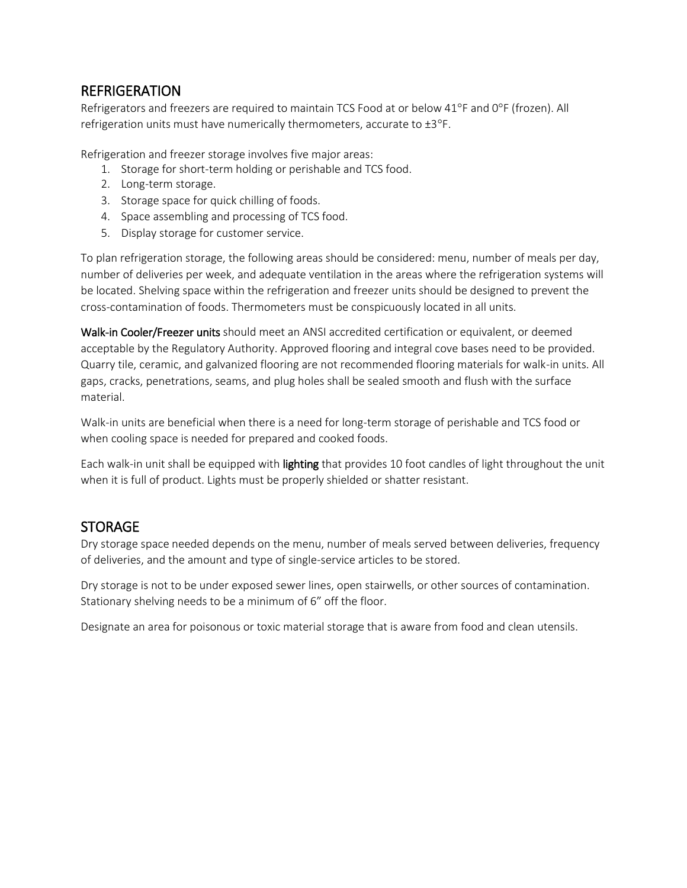### REFRIGERATION

Refrigerators and freezers are required to maintain TCS Food at or below 41°F and 0°F (frozen). All refrigeration units must have numerically thermometers, accurate to  $\pm 3^{\circ}F$ .

Refrigeration and freezer storage involves five major areas:

- 1. Storage for short-term holding or perishable and TCS food.
- 2. Long-term storage.
- 3. Storage space for quick chilling of foods.
- 4. Space assembling and processing of TCS food.
- 5. Display storage for customer service.

To plan refrigeration storage, the following areas should be considered: menu, number of meals per day, number of deliveries per week, and adequate ventilation in the areas where the refrigeration systems will be located. Shelving space within the refrigeration and freezer units should be designed to prevent the cross-contamination of foods. Thermometers must be conspicuously located in all units.

Walk-in Cooler/Freezer units should meet an ANSI accredited certification or equivalent, or deemed acceptable by the Regulatory Authority. Approved flooring and integral cove bases need to be provided. Quarry tile, ceramic, and galvanized flooring are not recommended flooring materials for walk-in units. All gaps, cracks, penetrations, seams, and plug holes shall be sealed smooth and flush with the surface material.

Walk-in units are beneficial when there is a need for long-term storage of perishable and TCS food or when cooling space is needed for prepared and cooked foods.

Each walk-in unit shall be equipped with **lighting** that provides 10 foot candles of light throughout the unit when it is full of product. Lights must be properly shielded or shatter resistant.

## **STORAGE**

Dry storage space needed depends on the menu, number of meals served between deliveries, frequency of deliveries, and the amount and type of single-service articles to be stored.

Dry storage is not to be under exposed sewer lines, open stairwells, or other sources of contamination. Stationary shelving needs to be a minimum of 6" off the floor.

Designate an area for poisonous or toxic material storage that is aware from food and clean utensils.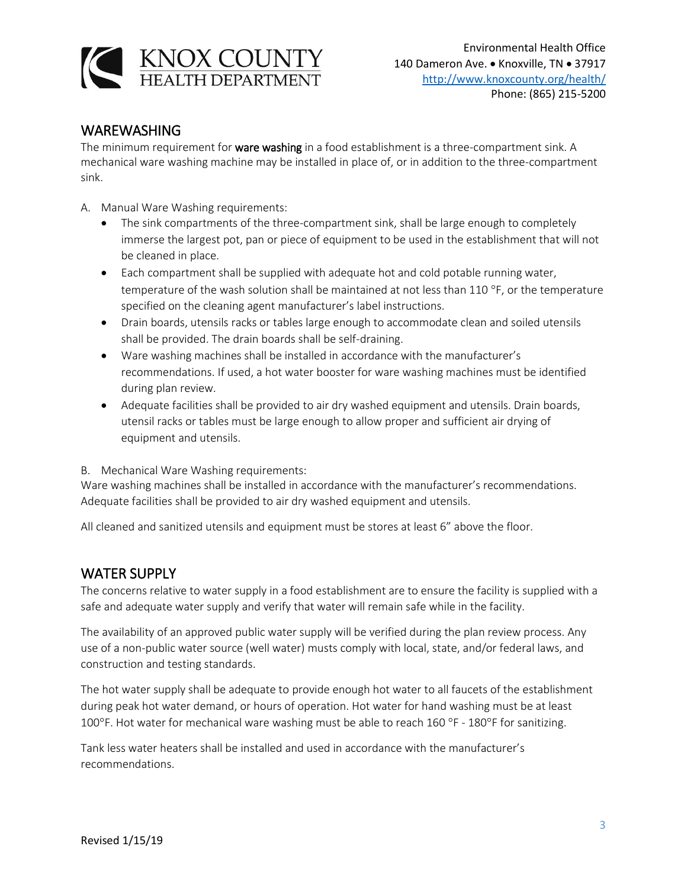

#### WAREWASHING

The minimum requirement for ware washing in a food establishment is a three-compartment sink. A mechanical ware washing machine may be installed in place of, or in addition to the three-compartment sink.

- A. Manual Ware Washing requirements:
	- The sink compartments of the three-compartment sink, shall be large enough to completely immerse the largest pot, pan or piece of equipment to be used in the establishment that will not be cleaned in place.
	- Each compartment shall be supplied with adequate hot and cold potable running water, temperature of the wash solution shall be maintained at not less than  $110^{\circ}$ F, or the temperature specified on the cleaning agent manufacturer's label instructions.
	- Drain boards, utensils racks or tables large enough to accommodate clean and soiled utensils shall be provided. The drain boards shall be self-draining.
	- Ware washing machines shall be installed in accordance with the manufacturer's recommendations. If used, a hot water booster for ware washing machines must be identified during plan review.
	- Adequate facilities shall be provided to air dry washed equipment and utensils. Drain boards, utensil racks or tables must be large enough to allow proper and sufficient air drying of equipment and utensils.
- B. Mechanical Ware Washing requirements:

Ware washing machines shall be installed in accordance with the manufacturer's recommendations. Adequate facilities shall be provided to air dry washed equipment and utensils.

All cleaned and sanitized utensils and equipment must be stores at least 6" above the floor.

## WATER SUPPLY

The concerns relative to water supply in a food establishment are to ensure the facility is supplied with a safe and adequate water supply and verify that water will remain safe while in the facility.

The availability of an approved public water supply will be verified during the plan review process. Any use of a non-public water source (well water) musts comply with local, state, and/or federal laws, and construction and testing standards.

The hot water supply shall be adequate to provide enough hot water to all faucets of the establishment during peak hot water demand, or hours of operation. Hot water for hand washing must be at least 100°F. Hot water for mechanical ware washing must be able to reach 160 °F - 180°F for sanitizing.

Tank less water heaters shall be installed and used in accordance with the manufacturer's recommendations.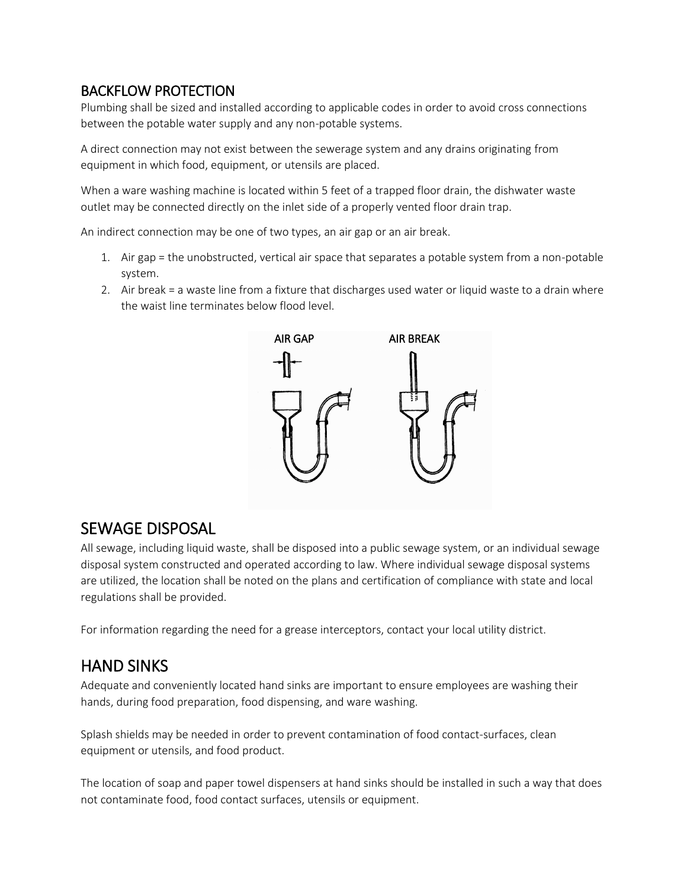## BACKFLOW PROTECTION

Plumbing shall be sized and installed according to applicable codes in order to avoid cross connections between the potable water supply and any non-potable systems.

A direct connection may not exist between the sewerage system and any drains originating from equipment in which food, equipment, or utensils are placed.

When a ware washing machine is located within 5 feet of a trapped floor drain, the dishwater waste outlet may be connected directly on the inlet side of a properly vented floor drain trap.

An indirect connection may be one of two types, an air gap or an air break.

- 1. Air gap = the unobstructed, vertical air space that separates a potable system from a non-potable system.
- 2. Air break = a waste line from a fixture that discharges used water or liquid waste to a drain where the waist line terminates below flood level.



## SEWAGE DISPOSAL

All sewage, including liquid waste, shall be disposed into a public sewage system, or an individual sewage disposal system constructed and operated according to law. Where individual sewage disposal systems are utilized, the location shall be noted on the plans and certification of compliance with state and local regulations shall be provided.

For information regarding the need for a grease interceptors, contact your local utility district.

## HAND SINKS

Adequate and conveniently located hand sinks are important to ensure employees are washing their hands, during food preparation, food dispensing, and ware washing.

Splash shields may be needed in order to prevent contamination of food contact-surfaces, clean equipment or utensils, and food product.

The location of soap and paper towel dispensers at hand sinks should be installed in such a way that does not contaminate food, food contact surfaces, utensils or equipment.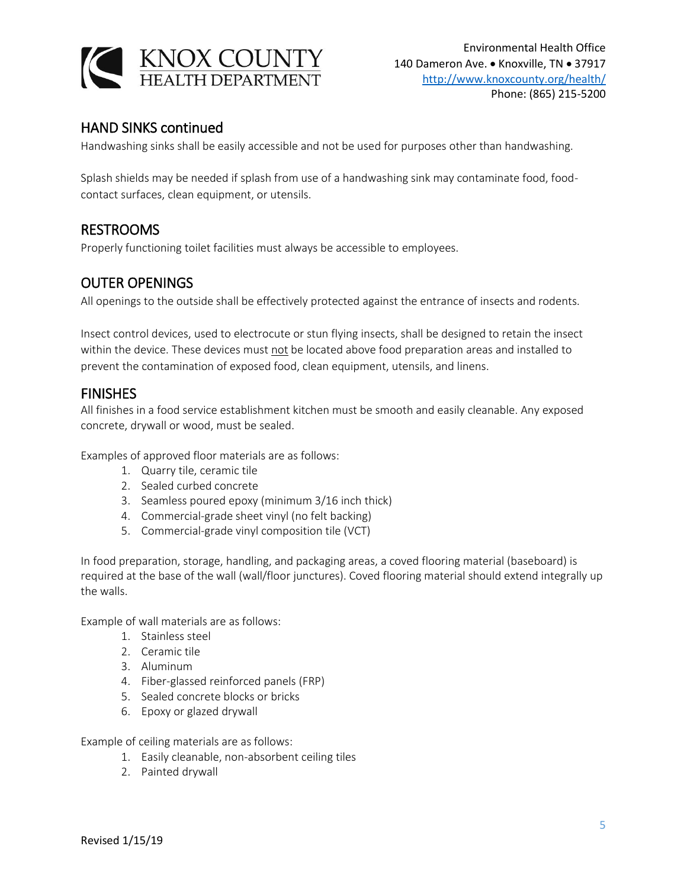

### HAND SINKS continued

Handwashing sinks shall be easily accessible and not be used for purposes other than handwashing.

Splash shields may be needed if splash from use of a handwashing sink may contaminate food, foodcontact surfaces, clean equipment, or utensils.

### RESTROOMS

Properly functioning toilet facilities must always be accessible to employees.

### OUTER OPENINGS

All openings to the outside shall be effectively protected against the entrance of insects and rodents.

Insect control devices, used to electrocute or stun flying insects, shall be designed to retain the insect within the device. These devices must not be located above food preparation areas and installed to prevent the contamination of exposed food, clean equipment, utensils, and linens.

#### FINISHES

All finishes in a food service establishment kitchen must be smooth and easily cleanable. Any exposed concrete, drywall or wood, must be sealed.

Examples of approved floor materials are as follows:

- 1. Quarry tile, ceramic tile
- 2. Sealed curbed concrete
- 3. Seamless poured epoxy (minimum 3/16 inch thick)
- 4. Commercial-grade sheet vinyl (no felt backing)
- 5. Commercial-grade vinyl composition tile (VCT)

In food preparation, storage, handling, and packaging areas, a coved flooring material (baseboard) is required at the base of the wall (wall/floor junctures). Coved flooring material should extend integrally up the walls.

Example of wall materials are as follows:

- 1. Stainless steel
- 2. Ceramic tile
- 3. Aluminum
- 4. Fiber-glassed reinforced panels (FRP)
- 5. Sealed concrete blocks or bricks
- 6. Epoxy or glazed drywall

Example of ceiling materials are as follows:

- 1. Easily cleanable, non-absorbent ceiling tiles
- 2. Painted drywall